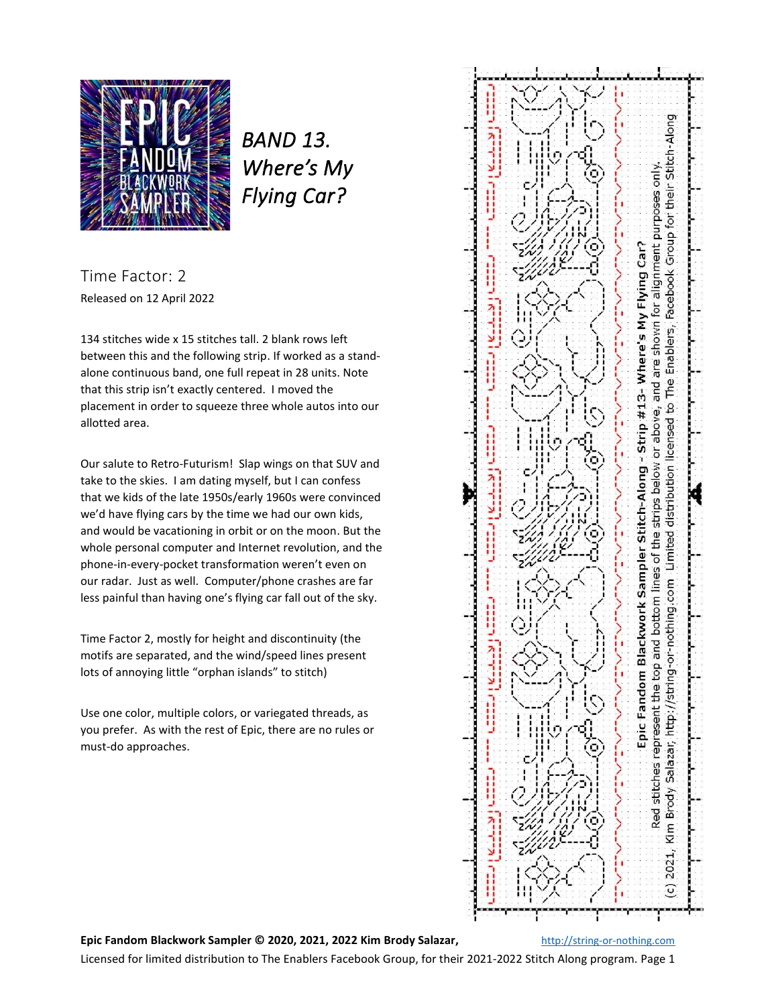

*BAND 13. Where's My Flying Car?* 

Time Factor: 2 Released on 12 April 2022

134 stitches wide x 15 stitches tall. 2 blank rows left between this and the following strip. If worked as a standalone continuous band, one full repeat in 28 units. Note that this strip isn't exactly centered. I moved the placement in order to squeeze three whole autos into our allotted area.

Our salute to Retro-Futurism! Slap wings on that SUV and take to the skies. I am dating myself, but I can confess that we kids of the late 1950s/early 1960s were convinced we'd have flying cars by the time we had our own kids, and would be vacationing in orbit or on the moon. But the whole personal computer and Internet revolution, and the phone-in-every-pocket transformation weren't even on our radar. Just as well. Computer/phone crashes are far less painful than having one's flying car fall out of the sky.

Time Factor 2, mostly for height and discontinuity (the motifs are separated, and the wind/speed lines present lots of annoying little "orphan islands" to stitch)

Use one color, multiple colors, or variegated threads, as you prefer. As with the rest of Epic, there are no rules or must-do approaches.



**Epic Fandom Blackwork Sampler © 2020, 2021, 2022 Kim Brody Salazar,** [http://string-or-nothing.com](http://string-or-nothing.com/)

Licensed for limited distribution to The Enablers Facebook Group, for their 2021-2022 Stitch Along program. Page 1